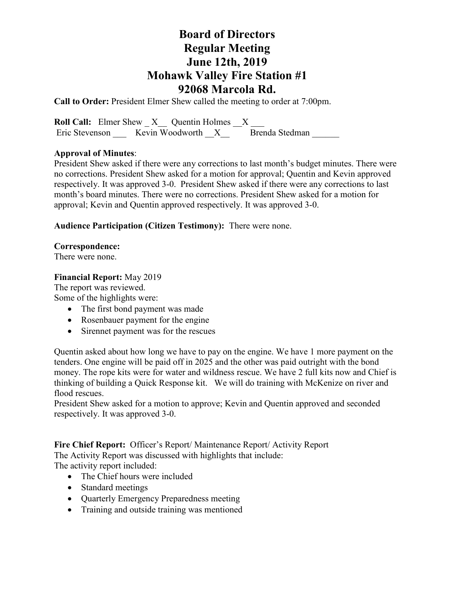**Call to Order:** President Elmer Shew called the meeting to order at 7:00pm.

**Roll Call:** Elmer Shew  $X$  Quentin Holmes  $X$ Eric Stevenson \_\_\_ Kevin Woodworth \_\_ X\_\_\_\_\_ Brenda Stedman

### **Approval of Minutes**:

President Shew asked if there were any corrections to last month's budget minutes. There were no corrections. President Shew asked for a motion for approval; Quentin and Kevin approved respectively. It was approved 3-0. President Shew asked if there were any corrections to last month's board minutes. There were no corrections. President Shew asked for a motion for approval; Kevin and Quentin approved respectively. It was approved 3-0.

### **Audience Participation (Citizen Testimony):** There were none.

#### **Correspondence:**

There were none.

#### **Financial Report:** May 2019

The report was reviewed. Some of the highlights were:

- The first bond payment was made
- Rosenbauer payment for the engine
- Sirennet payment was for the rescues

Quentin asked about how long we have to pay on the engine. We have 1 more payment on the tenders. One engine will be paid off in 2025 and the other was paid outright with the bond money. The rope kits were for water and wildness rescue. We have 2 full kits now and Chief is thinking of building a Quick Response kit. We will do training with McKenize on river and flood rescues.

President Shew asked for a motion to approve; Kevin and Quentin approved and seconded respectively. It was approved 3-0.

Fire Chief Report: Officer's Report/ Maintenance Report/ Activity Report The Activity Report was discussed with highlights that include:

The activity report included:

- The Chief hours were included
- Standard meetings
- Quarterly Emergency Preparedness meeting
- Training and outside training was mentioned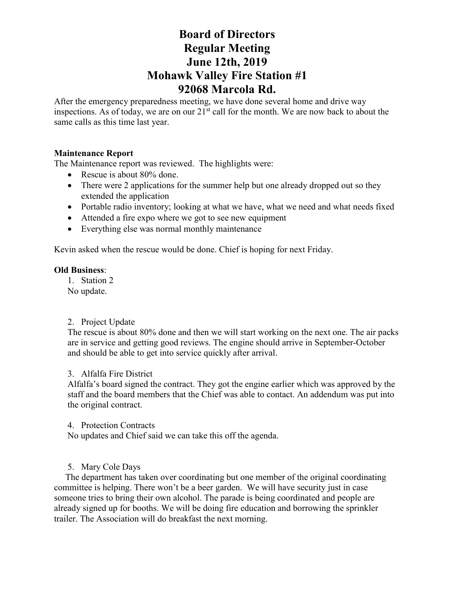After the emergency preparedness meeting, we have done several home and drive way inspections. As of today, we are on our  $21<sup>st</sup>$  call for the month. We are now back to about the same calls as this time last year.

## **Maintenance Report**

The Maintenance report was reviewed. The highlights were:

- Rescue is about 80% done.
- There were 2 applications for the summer help but one already dropped out so they extended the application
- Portable radio inventory; looking at what we have, what we need and what needs fixed
- Attended a fire expo where we got to see new equipment
- Everything else was normal monthly maintenance

Kevin asked when the rescue would be done. Chief is hoping for next Friday.

#### **Old Business**:

1. Station 2

No update.

#### 2. Project Update

The rescue is about 80% done and then we will start working on the next one. The air packs are in service and getting good reviews. The engine should arrive in September-October and should be able to get into service quickly after arrival.

#### 3. Alfalfa Fire District

Alfalfa's board signed the contract. They got the engine earlier which was approved by the staff and the board members that the Chief was able to contact. An addendum was put into the original contract.

4. Protection Contracts

No updates and Chief said we can take this off the agenda.

#### 5. Mary Cole Days

 The department has taken over coordinating but one member of the original coordinating committee is helping. There won't be a beer garden. We will have security just in case someone tries to bring their own alcohol. The parade is being coordinated and people are already signed up for booths. We will be doing fire education and borrowing the sprinkler trailer. The Association will do breakfast the next morning.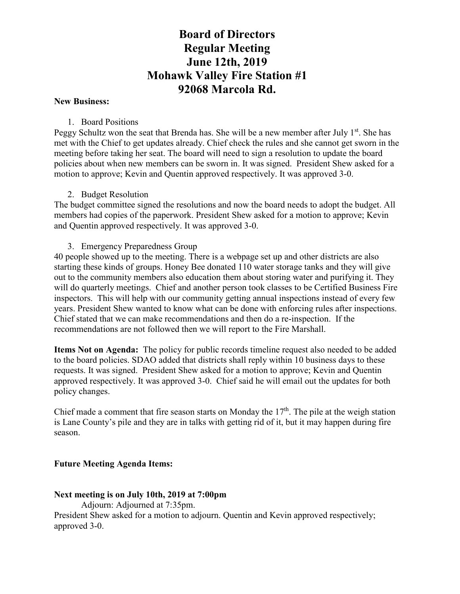#### **New Business:**

## 1. Board Positions

Peggy Schultz won the seat that Brenda has. She will be a new member after July  $1<sup>st</sup>$ . She has met with the Chief to get updates already. Chief check the rules and she cannot get sworn in the meeting before taking her seat. The board will need to sign a resolution to update the board policies about when new members can be sworn in. It was signed. President Shew asked for a motion to approve; Kevin and Quentin approved respectively. It was approved 3-0.

# 2. Budget Resolution

The budget committee signed the resolutions and now the board needs to adopt the budget. All members had copies of the paperwork. President Shew asked for a motion to approve; Kevin and Quentin approved respectively. It was approved 3-0.

### 3. Emergency Preparedness Group

40 people showed up to the meeting. There is a webpage set up and other districts are also starting these kinds of groups. Honey Bee donated 110 water storage tanks and they will give out to the community members also education them about storing water and purifying it. They will do quarterly meetings. Chief and another person took classes to be Certified Business Fire inspectors. This will help with our community getting annual inspections instead of every few years. President Shew wanted to know what can be done with enforcing rules after inspections. Chief stated that we can make recommendations and then do a re-inspection. If the recommendations are not followed then we will report to the Fire Marshall.

**Items Not on Agenda:** The policy for public records timeline request also needed to be added to the board policies. SDAO added that districts shall reply within 10 business days to these requests. It was signed. President Shew asked for a motion to approve; Kevin and Quentin approved respectively. It was approved 3-0. Chief said he will email out the updates for both policy changes.

Chief made a comment that fire season starts on Monday the  $17<sup>th</sup>$ . The pile at the weigh station is Lane County's pile and they are in talks with getting rid of it, but it may happen during fire season.

# **Future Meeting Agenda Items:**

# **Next meeting is on July 10th, 2019 at 7:00pm**

Adjourn: Adjourned at 7:35pm.

President Shew asked for a motion to adjourn. Quentin and Kevin approved respectively; approved 3-0.